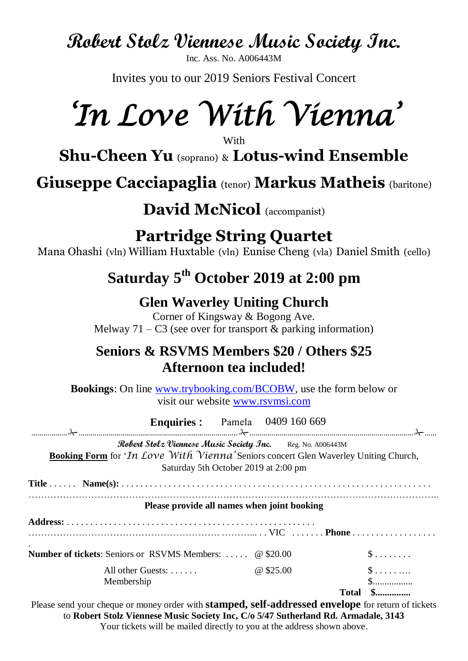**Robert Stolz Viennese Music Society Inc.**

Inc. Ass. No. A006443M

Invites you to our 2019 Seniors Festival Concert

# *'In Love With Vienna'*

**With** 

**Shu-Cheen Yu** (soprano) & **Lotus-wind Ensemble**

**Giuseppe Cacciapaglia** (tenor) **Markus Matheis** (baritone)

**David McNicol** (accompanist)

**Partridge String Quartet**

Mana Ohashi (vln) William Huxtable (vln) Eunise Cheng (vla) Daniel Smith (cello)

## **Saturday 5 th October 2019 at 2:00 pm**

### **Glen Waverley Uniting Church**

Corner of Kingsway & Bogong Ave. Melway  $71 - C3$  (see over for transport & parking information)

#### **Seniors & RSVMS Members \$20 / Others \$25 Afternoon tea included!**

**Bookings**: On line [www.trybooking.com/BCOBW,](http://www.trybooking.com/BCOBW) use the form below or visit our website [www.rsvmsi.com](http://www.rsvmsi.com/)

| <b>Enquiries:</b> Pamela 0409 160 669                                                                                                                                                                            |           |                                 |
|------------------------------------------------------------------------------------------------------------------------------------------------------------------------------------------------------------------|-----------|---------------------------------|
| <b>Robert Stolz Viennese Music Society Inc.</b> Reg. No. A006443M<br><b>Booking Form</b> for ' <i>In Love With Vienna'</i> Seniors concert Glen Waverley Uniting Church,<br>Saturday 5th October 2019 at 2:00 pm |           |                                 |
|                                                                                                                                                                                                                  |           |                                 |
| Please provide all names when joint booking                                                                                                                                                                      |           |                                 |
|                                                                                                                                                                                                                  |           |                                 |
| <b>Number of tickets:</b> Seniors or RSVMS Members:  @ \$20.00                                                                                                                                                   |           | $\$\ldots\ldots$                |
| All other Guests: $\ldots$ .<br>Membership                                                                                                                                                                       | @ \$25.00 | $\mathbb{S}$<br>$S$<br>Total \$ |

Please send your cheque or money order with **stamped, self-addressed envelope** for return of tickets to **Robert Stolz Viennese Music Society Inc, C/o 5/47 Sutherland Rd. Armadale, 3143** Your tickets will be mailed directly to you at the address shown above.